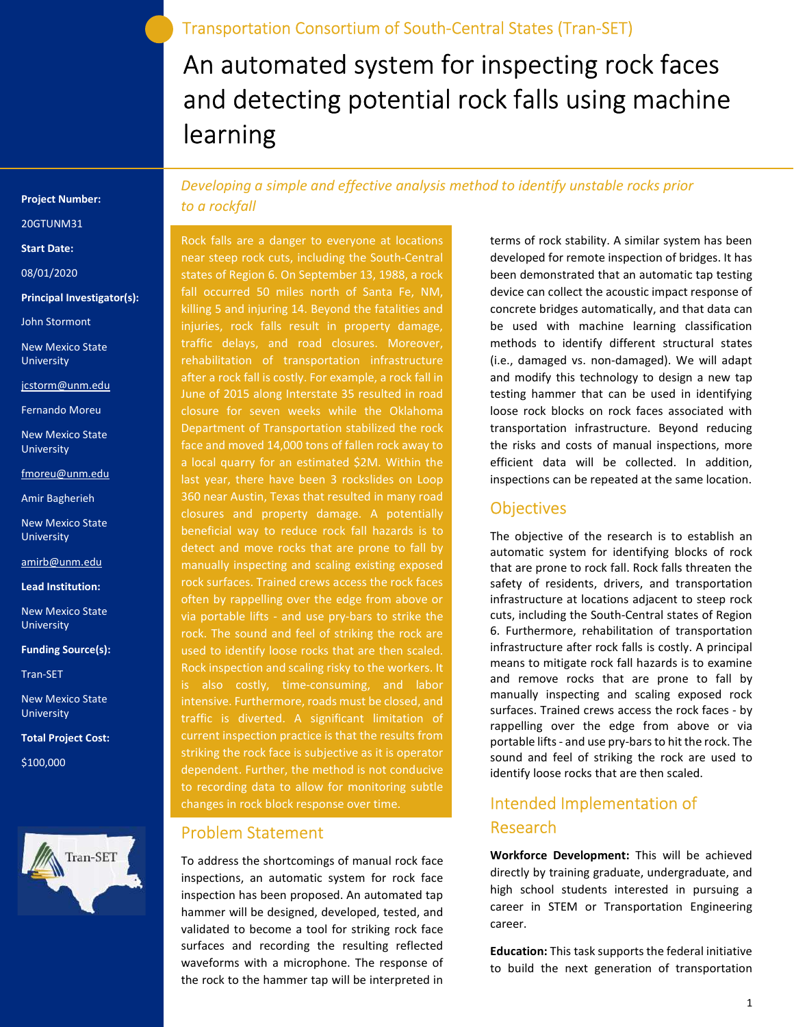Transportation Consortium of South-Central States (Tran-SET)

# An automated system for inspecting rock faces and detecting potential rock falls using machine learning

Project Number:

20GTUNM31

Start Date:

08/01/2020

Principal Investigator(s):

John Stormont

New Mexico State University

jcstorm@unm.edu

Fernando Moreu

New Mexico State **University** 

fmoreu@unm.edu

Amir Bagherieh

New Mexico State University

amirb@unm.edu

Lead Institution:

New Mexico State University

Funding Source(s):

Tran-SET

New Mexico State **University** 

Total Project Cost:

\$100,000



Developing a simple and effective analysis method to identify unstable rocks prior to a rockfall

Rock falls are a danger to everyone at locations near steep rock cuts, including the South-Central states of Region 6. On September 13, 1988, a rock fall occurred 50 miles north of Santa Fe, NM, killing 5 and injuring 14. Beyond the fatalities and injuries, rock falls result in property damage, traffic delays, and road closures. Moreover, rehabilitation of transportation infrastructure after a rock fall is costly. For example, a rock fall in June of 2015 along Interstate 35 resulted in road closure for seven weeks while the Oklahoma Department of Transportation stabilized the rock face and moved 14,000 tons of fallen rock away to a local quarry for an estimated \$2M. Within the last year, there have been 3 rockslides on Loop 360 near Austin, Texas that resulted in many road closures and property damage. A potentially beneficial way to reduce rock fall hazards is to detect and move rocks that are prone to fall by manually inspecting and scaling existing exposed rock surfaces. Trained crews access the rock faces often by rappelling over the edge from above or via portable lifts - and use pry-bars to strike the rock. The sound and feel of striking the rock are used to identify loose rocks that are then scaled. Rock inspection and scaling risky to the workers. It is also costly, time-consuming, and labor intensive. Furthermore, roads must be closed, and traffic is diverted. A significant limitation of current inspection practice is that the results from striking the rock face is subjective as it is operator dependent. Further, the method is not conducive to recording data to allow for monitoring subtle changes in rock block response over time.

#### Problem Statement

To address the shortcomings of manual rock face inspections, an automatic system for rock face inspection has been proposed. An automated tap hammer will be designed, developed, tested, and validated to become a tool for striking rock face surfaces and recording the resulting reflected waveforms with a microphone. The response of the rock to the hammer tap will be interpreted in

terms of rock stability. A similar system has been developed for remote inspection of bridges. It has been demonstrated that an automatic tap testing device can collect the acoustic impact response of concrete bridges automatically, and that data can be used with machine learning classification methods to identify different structural states (i.e., damaged vs. non-damaged). We will adapt and modify this technology to design a new tap testing hammer that can be used in identifying loose rock blocks on rock faces associated with transportation infrastructure. Beyond reducing the risks and costs of manual inspections, more efficient data will be collected. In addition, inspections can be repeated at the same location.

#### **Objectives**

The objective of the research is to establish an automatic system for identifying blocks of rock that are prone to rock fall. Rock falls threaten the safety of residents, drivers, and transportation infrastructure at locations adjacent to steep rock cuts, including the South-Central states of Region 6. Furthermore, rehabilitation of transportation infrastructure after rock falls is costly. A principal means to mitigate rock fall hazards is to examine and remove rocks that are prone to fall by manually inspecting and scaling exposed rock surfaces. Trained crews access the rock faces - by rappelling over the edge from above or via portable lifts - and use pry-bars to hit the rock. The sound and feel of striking the rock are used to identify loose rocks that are then scaled.

## Intended Implementation of Research

Workforce Development: This will be achieved directly by training graduate, undergraduate, and high school students interested in pursuing a career in STEM or Transportation Engineering career.

Education: This task supports the federal initiative to build the next generation of transportation